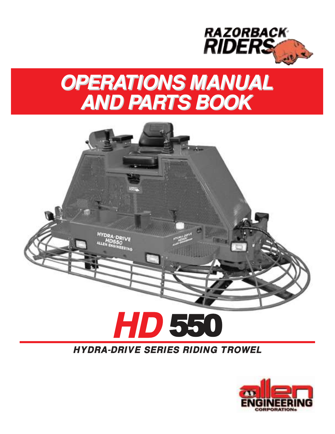

## **OPERATIONS MANUAL AND PARTS BOOK**



#### **HYDRA-DRIVE SERIES RIDING TROWEL**

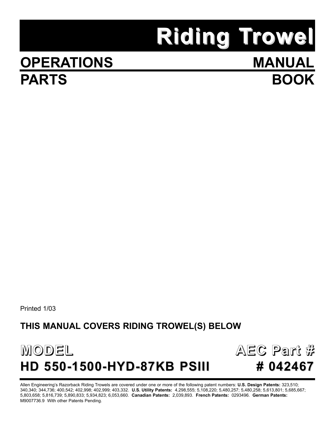# **Riding Trowel**

**MANUAL**

**BOOK**

## **OPERATIONS PARTS**

Printed 1/03

#### **THIS MANUAL COVERS RIDING TROWEL(S) BELOW**





Allen Engineering's Razorback Riding Trowels are covered under one or more of the following patent numbers: **U.S. Design Patents:** 323,510; 340,340; 344,736; 400,542; 402,998; 402,999; 403,332. **U.S. Utility Patents:** 4,298,555; 5,108,220; 5,480,257; 5,480,258; 5,613,801; 5,685,667; 5,803,658; 5,816,739; 5,890,833; 5,934,823; 6,053,660. **Canadian Patents:** 2,039,893. **French Patents:** 0293496. **German Patents:** M9007736.9 With other Patents Pending.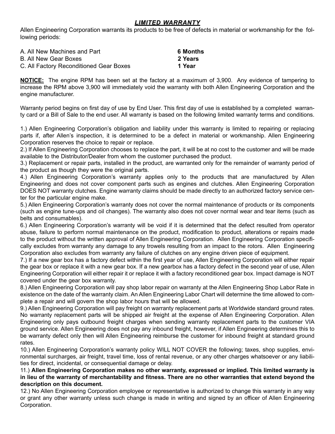#### *LIMITED WARRANTY*

Allen Engineering Corporation warrants its products to be free of defects in material or workmanship for the following periods:

| A. All New Machines and Part            | 6 Months |
|-----------------------------------------|----------|
| B. All New Gear Boxes                   | 2 Years  |
| C. All Factory Reconditioned Gear Boxes | 1 Year   |

**NOTICE:** The engine RPM has been set at the factory at a maximum of 3,900. Any evidence of tampering to increase the RPM above 3,900 will immediately void the warranty with both Allen Engineering Corporation and the engine manufacturer.

Warranty period begins on first day of use by End User. This first day of use is established by a completed warranty card or a Bill of Sale to the end user. All warranty is based on the following limited warranty terms and conditions.

1.) Allen Engineering Corporation's obligation and liability under this warranty is limited to repairing or replacing parts if, after Allen's inspection, it is determined to be a defect in material or workmanship. Allen Engineering Corporation reserves the choice to repair or replace.

2.) If Allen Engineering Corporation chooses to replace the part, it will be at no cost to the customer and will be made available to the Distributor/Dealer from whom the customer purchased the product.

3.) Replacement or repair parts, installed in the product, are warranted only for the remainder of warranty period of the product as though they were the original parts.

4.) Allen Engineering Corporation's warranty applies only to the products that are manufactured by Allen Engineering and does not cover component parts such as engines and clutches. Allen Engineering Corporation DOES NOT warranty clutches. Engine warranty claims should be made directly to an authorized factory service center for the particular engine make.

5.) Allen Engineering Corporation's warranty does not cover the normal maintenance of products or its components (such as engine tune-ups and oil changes). The warranty also does not cover normal wear and tear items (such as belts and consumables).

6.) Allen Engineering Corporation's warranty will be void if it is determined that the defect resulted from operator abuse, failure to perform normal maintenance on the product, modification to product, alterations or repairs made to the product without the written approval of Allen Engineering Corporation. Allen Engineering Corporation specifically excludes from warranty any damage to any trowels resulting from an impact to the rotors. Allen Engineering Corporation also excludes from warranty any failure of clutches on any engine driven piece of equipment.

7.) If a new gear box has a factory defect within the first year of use, Allen Engineering Corporation will either repair the gear box or replace it with a new gear box. If a new gearbox has a factory defect in the second year of use, Allen Engineering Corporation will either repair it or replace it with a factory reconditioned gear box. Impact damage is NOT covered under the gear box warranty.

8.) Allen Engineering Corporation will pay shop labor repair on warranty at the Allen Engineering Shop Labor Rate in existence on the date of the warranty claim. An Allen Engineering Labor Chart will determine the time allowed to complete a repair and will govern the shop labor hours that will be allowed.

9.) Allen Engineering Corporation will pay freight on warranty replacement parts at Worldwide standard ground rates. No warranty replacement parts will be shipped air freight at the expense of Allen Engineering Corporation. Allen Engineering only pays outbound freight charges when sending warranty replacement parts to the customer VIA ground service. Allen Engineering does not pay any inbound freight, however, if Allen Engineering determines this to be warranty defect only then will Allen Engineering reimburse the customer for inbound freight at standard ground rates.

10.) Allen Engineering Corporation's warranty policy WILL NOT COVER the following; taxes, shop supplies, environmental surcharges, air freight, travel time, loss of rental revenue, or any other charges whatsoever or any liabilities for direct, incidental, or consequential damage or delay.

#### 11.) **Allen Engineering Corporation makes no other warranty, expressed or implied. This limited warranty is in lieu of the warranty of merchantability and fitness. There are no other warranties that extend beyond the description on this document.**

12.) No Allen Engineering Corporation employee or representative is authorized to change this warranty in any way or grant any other warranty unless such change is made in writing and signed by an officer of Allen Engineering Corporation.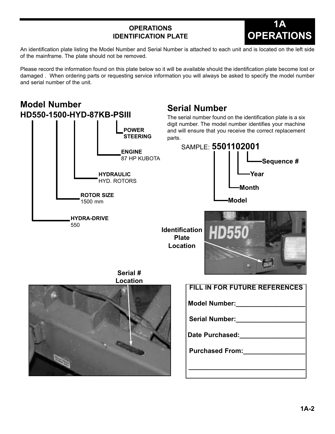#### **OPERATIONS IDENTIFICATION PLATE**



An identification plate listing the Model Number and Serial Number is attached to each unit and is located on the left side of the mainframe. The plate should not be removed.

Please record the information found on this plate below so it will be available should the identification plate become lost or damaged . When ordering parts or requesting service information you will always be asked to specify the model number and serial number of the unit.

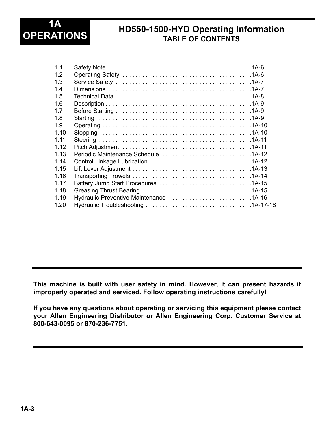

#### **HD550-1500-HYD Operating Information TABLE OF CONTENTS**

| 1 <sub>1</sub> |                                        |  |
|----------------|----------------------------------------|--|
| 12             |                                        |  |
| 1.3            |                                        |  |
| 14             |                                        |  |
| 1.5            |                                        |  |
| 1.6            |                                        |  |
| 17             |                                        |  |
| 1.8            |                                        |  |
| 1.9            |                                        |  |
| 1.10           |                                        |  |
| 1 1 1          |                                        |  |
| 1 1 2          |                                        |  |
| 113            |                                        |  |
| 1 14           |                                        |  |
| 1.15           |                                        |  |
| 1 1 6          |                                        |  |
| 1 17           |                                        |  |
| 1 1 8          |                                        |  |
| 1 1 9          | Hydraulic Preventive Maintenance 1A-16 |  |
| 120            |                                        |  |

**This machine is built with user safety in mind. However, it can present hazards if improperly operated and serviced. Follow operating instructions carefully!** 

**If you have any questions about operating or servicing this equipment please contact your Allen Engineering Distributor or Allen Engineering Corp. Customer Service at 800-643-0095 or 870-236-7751.**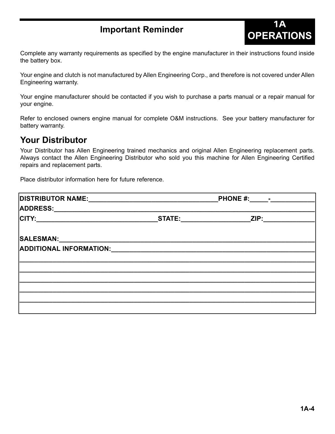**Important Reminder**<br> **OPERATIONS** Complete any warranty requirements as specified by the engine manufacturer in their instructions found inside

**1A**

the battery box.

Your engine and clutch is not manufactured by Allen Engineering Corp., and therefore is not covered under Allen Engineering warranty.

Your engine manufacturer should be contacted if you wish to purchase a parts manual or a repair manual for your engine.

Refer to enclosed owners engine manual for complete O&M instructions. See your battery manufacturer for battery warranty.

#### **Your Distributor**

Your Distributor has Allen Engineering trained mechanics and original Allen Engineering replacement parts. Always contact the Allen Engineering Distributor who sold you this machine for Allen Engineering Certified repairs and replacement parts.

Place distributor information here for future reference.

| <b>DISTRIBUTOR NAME:</b><br>PHONE $#$ : $-$ |      |  |
|---------------------------------------------|------|--|
|                                             |      |  |
|                                             | ZIP: |  |
|                                             |      |  |
|                                             |      |  |
|                                             |      |  |
|                                             |      |  |
|                                             |      |  |
|                                             |      |  |
|                                             |      |  |
|                                             |      |  |
|                                             |      |  |
|                                             |      |  |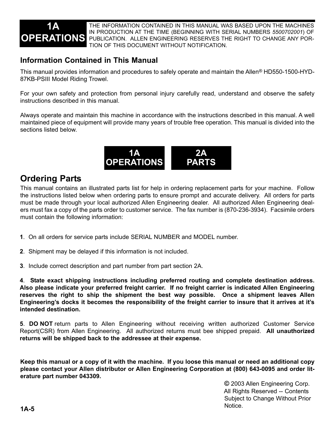

THE INFORMATION CONTAINED IN THIS MANUAL WAS BASED UPON THE MACHINES IN PRODUCTION AT THE TIME (BEGINNING WITH SERIAL NUMBERS *5500702001*) OF PUBLICATION. ALLEN ENGINEERING RESERVES THE RIGHT TO CHANGE ANY POR-TION OF THIS DOCUMENT WITHOUT NOTIFICATION.

#### **Information Contained in This Manual**

This manual provides information and procedures to safely operate and maintain the Allen*®* HD550-1500-HYD-87KB-PSIII Model Riding Trowel.

For your own safety and protection from personal injury carefully read, understand and observe the safety instructions described in this manual.

Always operate and maintain this machine in accordance with the instructions described in this manual. A well maintained piece of equipment will provide many years of trouble free operation. This manual is divided into the sections listed below.



#### **Ordering Parts**

This manual contains an illustrated parts list for help in ordering replacement parts for your machine. Follow the instructions listed below when ordering parts to ensure prompt and accurate delivery. All orders for parts must be made through your local authorized Allen Engineering dealer. All authorized Allen Engineering dealers must fax a copy of the parts order to customer service. The fax number is (870-236-3934). Facsimile orders must contain the following information:

- **1**. On all orders for service parts include SERIAL NUMBER and MODEL number.
- **2**. Shipment may be delayed if this information is not included.
- **3**. Include correct description and part number from part section 2A.

**4**. **State exact shipping instructions including preferred routing and complete destination address. Also please indicate your preferred freight carrier. If no freight carrier is indicated Allen Engineering reserves the right to ship the shipment the best way possible. Once a shipment leaves Allen Engineering's docks it becomes the responsibility of the freight carrier to insure that it arrives at it's intended destination.**

**5**. **DO NOT** return parts to Allen Engineering without receiving written authorized Customer Service Report(CSR) from Allen Engineering. All authorized returns must bee shipped prepaid. **All unauthorized returns will be shipped back to the addressee at their expense.**

**Keep this manual or a copy of it with the machine. If you loose this manual or need an additional copy please contact your Allen distributor or Allen Engineering Corporation at (800) 643-0095 and order literature part number 043309.**

> **©** 2003 Allen Engineering Corp. All Rights Reserved -- Contents Subject to Change Without Prior Notice.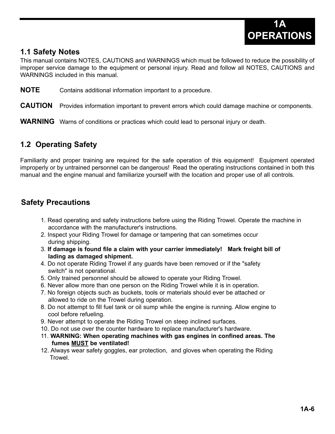

#### **1.1 Safety Notes**

This manual contains NOTES, CAUTIONS and WARNINGS which must be followed to reduce the possibility of improper service damage to the equipment or personal injury. Read and follow all NOTES, CAUTIONS and WARNINGS included in this manual.

**NOTE** Contains additional information important to a procedure.

**CAUTION** Provides information important to prevent errors which could damage machine or components.

**WARNING** Warns of conditions or practices which could lead to personal injury or death.

#### **1.2 Operating Safety**

Familiarity and proper training are required for the safe operation of this equipment! Equipment operated improperly or by untrained personnel can be dangerous! Read the operating instructions contained in both this manual and the engine manual and familiarize yourself with the location and proper use of all controls.

#### **Safety Precautions**

- 1. Read operating and safety instructions before using the Riding Trowel. Operate the machine in accordance with the manufacturer's instructions.
- 2. Inspect your Riding Trowel for damage or tampering that can sometimes occur during shipping.
- 3. **If damage is found file a claim with your carrier immediately! Mark freight bill of lading as damaged shipment.**
- 4. Do not operate Riding Trowel if any guards have been removed or if the "safety switch" is not operational.
- 5. Only trained personnel should be allowed to operate your Riding Trowel.
- 6. Never allow more than one person on the Riding Trowel while it is in operation.
- 7. No foreign objects such as buckets, tools or materials should ever be attached or allowed to ride on the Trowel during operation.
- 8. Do not attempt to fill fuel tank or oil sump while the engine is running. Allow engine to cool before refueling.
- 9. Never attempt to operate the Riding Trowel on steep inclined surfaces.
- 10. Do not use over the counter hardware to replace manufacturer's hardware.
- 11. **WARNING: When operating machines with gas engines in confined areas. The fumes MUST be ventilated!**
- 12. Always wear safety goggles, ear protection, and gloves when operating the Riding **Trowel**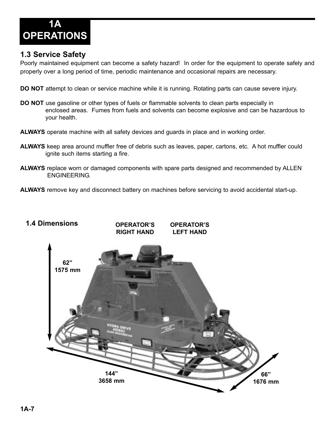

#### **1.3 Service Safety**

Poorly maintained equipment can become a safety hazard! In order for the equipment to operate safely and properly over a long period of time, periodic maintenance and occasional repairs are necessary.

**DO NOT** attempt to clean or service machine while it is running. Rotating parts can cause severe injury.

- **DO NOT** use gasoline or other types of fuels or flammable solvents to clean parts especially in enclosed areas. Fumes from fuels and solvents can become explosive and can be hazardous to your health.
- **ALWAYS** operate machine with all safety devices and guards in place and in working order.
- **ALWAYS** keep area around muffler free of debris such as leaves, paper, cartons, etc. A hot muffler could ignite such items starting a fire.
- **ALWAYS** replace worn or damaged components with spare parts designed and recommended by ALLEN ENGINEERING.

**ALWAYS** remove key and disconnect battery on machines before servicing to avoid accidental start-up.

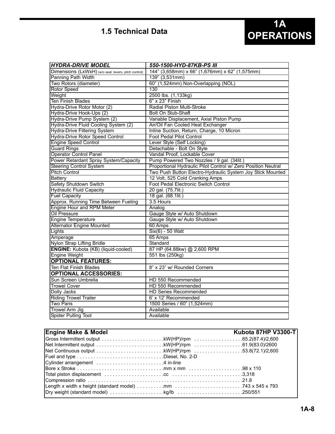#### **1.5 Technical Data**

| <b>HYDRA-DRIVE MODEL</b>                             | 550-1500-HYD-87KB-PS III                                      |
|------------------------------------------------------|---------------------------------------------------------------|
| Dimensions (LxWxH) (w/o seat, levers, pitch control) | 144" (3,658mm) x 66" (1,676mm) x 62" (1,575mm)                |
| Panning Path Width                                   | 139" (3,531mm)                                                |
| Two Rotors (diameter)                                | 60" (1,524mm) Non-Overlapping (NOL)                           |
| <b>Rotor Speed</b>                                   | 130                                                           |
| Weight                                               | 2500 lbs. (1,133kg)                                           |
| <b>Ten Finish Blades</b>                             | $6"$ x 23" Finish                                             |
| Hydra-Drive Rotor Motor (2)                          | Radial Piston Multi-Stroke                                    |
| Hydra-Drive Hook-Ups (2)                             | <b>Bolt On Stub-Shaft</b>                                     |
| Hydra-Drive Pump System (2)                          | Variable Displacement, Axial Piston Pump                      |
| Hydra-Drive Fluid Cooling System (2)                 | Air/Oil Fan Cooled Heat Exchanger                             |
| <b>Hydra-Drive Filtering System</b>                  | Inline Suction, Return, Charge, 10 Micron                     |
| <b>Hydra-Drive Rotor Speed Control</b>               | <b>Foot Pedal Pilot Control</b>                               |
| Engine Speed Control                                 | Lever Style (Self Locking)                                    |
| <b>Guard Rings</b>                                   | Detachable - Bolt On Style                                    |
| <b>Operator Control Panel</b>                        | Vandal Proof, Lockable Cover                                  |
| Power Retardant Spray System/Capacity                | Pump Powered Two Nozzles / 9 gal. (34lit.)                    |
| <b>Steering Control System</b>                       | Proportional Hydraulic Pilot Control w/ Zero Position Neutral |
| <b>Pitch Control</b>                                 | Two Push Button Electro-Hydraulic System Joy Stick Mounted    |
| <b>Battery</b>                                       | 12 Volt, 525 Cold Cranking Amps                               |
| <b>Safety Shutdown Switch</b>                        | Foot Pedal Electronic Switch Control                          |
| Hydraulic Fluid Capacity                             | 20 gal. (75.7lit.)                                            |
| <b>Fuel Capacity</b>                                 | 18 gal. (68.1lit.)                                            |
| Approx. Running Time Between Fueling                 | 3.5 Hours                                                     |
| Engine Hour and RPM Meter                            | Analog                                                        |
| <b>Oil Pressure</b>                                  | Gauge Style w/ Auto Shutdown                                  |
| Engine Temperature                                   | Gauge Style w/ Auto Shutdown                                  |
| <b>Alternator Engine Mounted</b>                     | 60 Amps                                                       |
| Lights                                               | Six(6) - 50 Watt                                              |
| Amperage                                             | 65 Amps                                                       |
| Nylon Strap Lifting Bridle                           | Standard                                                      |
| <b>ENGINE:</b> Kubota (KB) (liquid-cooled)           | 87 HP (64.88kw) @ 2,600 RPM                                   |
| Engine Weight                                        | 551 lbs (250kg)                                               |
| <b>OPTIONAL FEATURES:</b>                            |                                                               |
| Ten Flat Finish Blades                               | 8" x 23" w/ Rounded Corners                                   |
| <b>OPTIONAL ACCESSORIES:</b>                         |                                                               |
| Sun Screen Umbrella                                  | HD 550 Recommended                                            |
| <b>Trowel Cover</b>                                  | HD 550 Recommended                                            |
| Dolly Jacks                                          | <b>HD Series Recommended</b>                                  |
| <b>Riding Trowel Trailer</b>                         | 6' x 12' Recommended                                          |
| Two Pans                                             | 1500 Series / 60" (1,524mm)                                   |
| <b>Trowel Arm Jig</b>                                | Available                                                     |
| Spider Pulling Tool                                  | Available                                                     |

| <b>Engine Make &amp; Model</b> |                                                                                                                                                                  | Kubota 87HP V3300-T |
|--------------------------------|------------------------------------------------------------------------------------------------------------------------------------------------------------------|---------------------|
|                                |                                                                                                                                                                  |                     |
|                                | Net Intermittent output $\ldots \ldots \ldots \ldots \ldots \ldots \ldots$ .kW(HP)/rpm $\ldots \ldots \ldots \ldots \ldots \ldots \ldots \ldots$ 61.9(83.0)/2600 |                     |
|                                | Net Continuous output $\ldots \ldots \ldots \ldots \ldots \ldots \ldots$ . kW(HP)/rpm $\ldots \ldots \ldots \ldots \ldots \ldots \ldots$ . 53.8(72.1)/2,600      |                     |
|                                | Fuel and type $\ldots \ldots \ldots \ldots \ldots \ldots \ldots \ldots \ldots$ . Diesel, No. 2-D                                                                 |                     |
|                                |                                                                                                                                                                  |                     |
|                                |                                                                                                                                                                  |                     |
|                                |                                                                                                                                                                  |                     |
|                                |                                                                                                                                                                  |                     |
|                                | Length x width x height (standard model) $\ldots \ldots \ldots \ldots$ mm                                                                                        |                     |
|                                |                                                                                                                                                                  |                     |
|                                |                                                                                                                                                                  |                     |

**1A**

**OPERATIONS**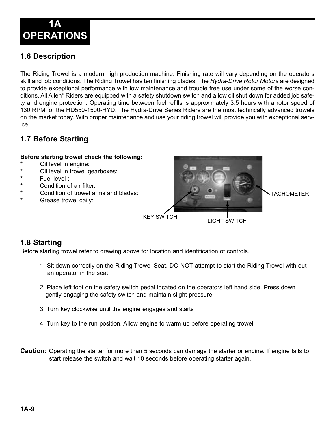

#### **1.6 Description**

The Riding Trowel is a modern high production machine. Finishing rate will vary depending on the operators skill and job conditions. The Riding Trowel has ten finishing blades. The *Hydra-Drive Rotor Motors* are designed to provide exceptional performance with low maintenance and trouble free use under some of the worse conditions. All Allen*®* Riders are equipped with a safety shutdown switch and a low oil shut down for added job safety and engine protection. Operating time between fuel refills is approximately 3.5 hours with a rotor speed of 130 RPM for the HD550-1500-HYD. The Hydra-Drive Series Riders are the most technically advanced trowels on the market today. With proper maintenance and use your riding trowel will provide you with exceptional service.

#### **1.7 Before Starting**

#### **Before starting trowel check the following:**

- **\*** Oil level in engine:
- **\*** Oil level in trowel gearboxes:
- **\*** Fuel level :
- **\*** Condition of air filter:
- **\*** Condition of trowel arms and blades:
- **Grease trowel daily:**



#### **1.8 Starting**

Before starting trowel refer to drawing above for location and identification of controls.

- 1. Sit down correctly on the Riding Trowel Seat. DO NOT attempt to start the Riding Trowel with out an operator in the seat.
- 2. Place left foot on the safety switch pedal located on the operators left hand side. Press down gently engaging the safety switch and maintain slight pressure.
- 3. Turn key clockwise until the engine engages and starts
- 4. Turn key to the run position. Allow engine to warm up before operating trowel.
- **Caution:** Operating the starter for more than 5 seconds can damage the starter or engine. If engine fails to start release the switch and wait 10 seconds before operating starter again.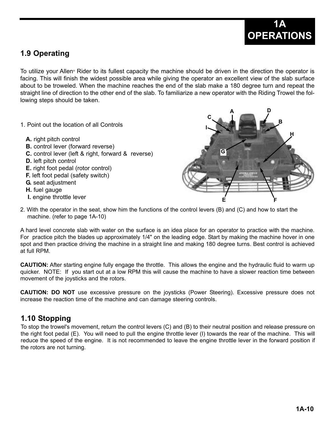

#### **1.9 Operating**

To utilize your Allen*®* Rider to its fullest capacity the machine should be driven in the direction the operator is facing. This will finish the widest possible area while giving the operator an excellent view of the slab surface about to be troweled. When the machine reaches the end of the slab make a 180 degree turn and repeat the straight line of direction to the other end of the slab. To familiarize a new operator with the Riding Trowel the following steps should be taken.

- 1. Point out the location of all Controls
	- **A.** right pitch control
	- **B.** control lever (forward reverse)
	- **C.** control lever (left & right, forward & reverse)
	- **D.** left pitch control
	- **E.** right foot pedal (rotor control)
	- **F.** left foot pedal (safety switch)
	- **G.** seat adjustment
	- **H.** fuel gauge
	- **I.** engine throttle lever



2. With the operator in the seat, show him the functions of the control levers (B) and (C) and how to start the machine. (refer to page 1A-10)

A hard level concrete slab with water on the surface is an idea place for an operator to practice with the machine. For practice pitch the blades up approximately 1/4" on the leading edge. Start by making the machine hover in one spot and then practice driving the machine in a straight line and making 180 degree turns. Best control is achieved at full RPM.

**CAUTION:** After starting engine fully engage the throttle. This allows the engine and the hydraulic fluid to warm up quicker. NOTE: If you start out at a low RPM this will cause the machine to have a slower reaction time between movement of the joysticks and the rotors.

**CAUTION: DO NOT** use excessive pressure on the joysticks (Power Steering). Excessive pressure does not increase the reaction time of the machine and can damage steering controls.

#### **1.10 Stopping**

To stop the trowel's movement, return the control levers (C) and (B) to their neutral position and release pressure on the right foot pedal (E). You will need to pull the engine throttle lever (I) towards the rear of the machine. This will reduce the speed of the engine. It is not recommended to leave the engine throttle lever in the forward position if the rotors are not turning.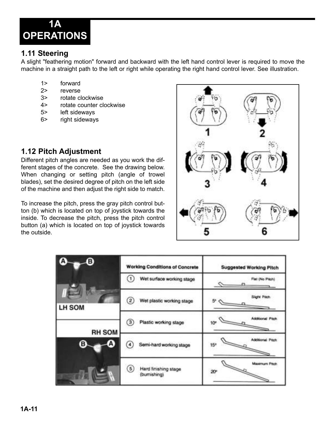

#### **1.11 Steering**

A slight "feathering motion" forward and backward with the left hand control lever is required to move the machine in a straight path to the left or right while operating the right hand control lever. See illustration.

- 1> forward
- 2> reverse
- 3> rotate clockwise
- 4> rotate counter clockwise
- 5> left sideways
- 6> right sideways

#### **1.12 Pitch Adjustment**

Different pitch angles are needed as you work the different stages of the concrete. See the drawing below. When changing or setting pitch (angle of trowel blades), set the desired degree of pitch on the left side of the machine and then adjust the right side to match.

To increase the pitch, press the gray pitch control button (b) which is located on top of joystick towards the inside. To decrease the pitch, press the pitch control button (a) which is located on top of joystick towards the outside.



| Ά<br>€        | <b>Working Conditions of Concrete</b>          | <b>Suggested Working Pitch</b>      |
|---------------|------------------------------------------------|-------------------------------------|
|               | $^{(1)}$<br>Wet surface working stage          | Flat (No Pitch)                     |
| LH SOM        | $\left( 2\right)$<br>Wet plastic working stage | Sight Pach.<br>5Q                   |
| <b>RH SOM</b> | $\circled{3}$<br>Plastic working stage         | Additional Pitch.<br>10°            |
| A)<br>в       | Semi-hard working stage<br>4                   | Additional Pitch<br>15 <sup>n</sup> |
|               | (5)<br>Hard finishing stage<br>(bumishing)     | <b>Maximum Pitch</b><br>æ           |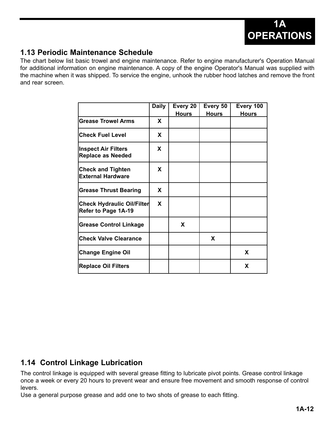

#### **1.13 Periodic Maintenance Schedule**

The chart below list basic trowel and engine maintenance. Refer to engine manufacturer's Operation Manual for additional information on engine maintenance. A copy of the engine Operator's Manual was supplied with the machine when it was shipped. To service the engine, unhook the rubber hood latches and remove the front and rear screen.

|                                                          | <b>Daily</b> | Every 20     | Every 50     | Every 100    |
|----------------------------------------------------------|--------------|--------------|--------------|--------------|
|                                                          |              | <b>Hours</b> | <b>Hours</b> | <b>Hours</b> |
| <b>Grease Trowel Arms</b>                                | X            |              |              |              |
| <b>Check Fuel Level</b>                                  | <b>X</b>     |              |              |              |
| <b>Inspect Air Filters</b><br><b>Replace as Needed</b>   | X            |              |              |              |
| <b>Check and Tighten</b><br><b>External Hardware</b>     | X            |              |              |              |
| <b>Grease Thrust Bearing</b>                             | X            |              |              |              |
| <b>Check Hydraulic Oil/Filter</b><br>Refer to Page 1A-19 | X            |              |              |              |
| <b>Grease Control Linkage</b>                            |              | X            |              |              |
| <b>Check Valve Clearance</b>                             |              |              | X            |              |
| <b>Change Engine Oil</b>                                 |              |              |              | X            |
| <b>Replace Oil Filters</b>                               |              |              |              | X            |

#### **1.14 Control Linkage Lubrication**

The control linkage is equipped with several grease fitting to lubricate pivot points. Grease control linkage once a week or every 20 hours to prevent wear and ensure free movement and smooth response of control levers.

Use a general purpose grease and add one to two shots of grease to each fitting.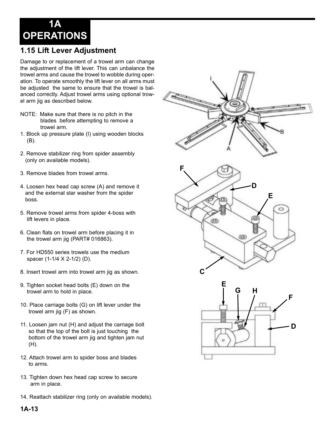**1A OPERATIONS**

#### **1.15 Lift Lever Adjustment**

Damage to or replacement of a trowel arm can change the adjustment of the lift lever. This can unbalance the trowel arms and cause the trowel to wobble during operation. To operate smoothly the lift lever on all arms must be adjusted the same to ensure that the trowel is balanced correctly. Adjust trowel arms using optional trowel arm jig as described below.

- NOTE: Make sure that there is no pitch in the blades before attempting to remove a trowel arm.
- 1. Block up pressure plate (I) using wooden blocks (B).
- 2. Remove stabilizer ring from spider assembly (only on available models).
- 3. Remove blades from trowel arms.
- 4. Loosen hex head cap screw (A) and remove it and the external star washer from the spider boss.
- 5. Remove trowel arms from spider 4-boss with lift levers in place.
- 6. Clean flats on trowel arm before placing it in the trowel arm jig (PART# 016863).
- 7. For HD550 series trowels use the medium spacer (1-1/4 X 2-1/2) (D).
- 8. Insert trowel arm into trowel arm jig as shown.
- 9. Tighten socket head bolts (E) down on the trowel arm to hold in place.
- 10. Place carriage bolts (G) on lift lever under the trowel arm jig (F) as shown.
- 11. Loosen jam nut (H) and adjust the carriage bolt so that the top of the bolt is just touching the bottom of the trowel arm jig and tighten jam nut (H).
- 12. Attach trowel arm to spider boss and blades to arms.
- 13. Tighten down hex head cap screw to secure arm in place.
- 14. Reattach stabilizer ring (only on available models).



**1A-13**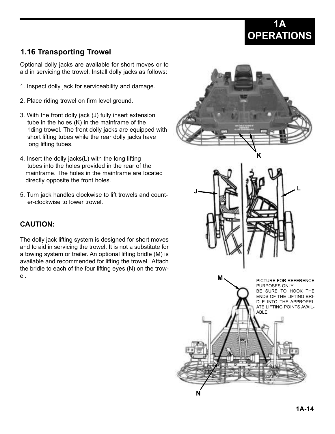

#### **1.16 Transporting Trowel**

Optional dolly jacks are available for short moves or to aid in servicing the trowel. Install dolly jacks as follows:

- 1. Inspect dolly jack for serviceability and damage.
- 2. Place riding trowel on firm level ground.
- 3. With the front dolly jack (J) fully insert extension tube in the holes (K) in the mainframe of the riding trowel. The front dolly jacks are equipped with short lifting tubes while the rear dolly jacks have long lifting tubes.
- 4. Insert the dolly jacks(L) with the long lifting tubes into the holes provided in the rear of the mainframe. The holes in the mainframe are located directly opposite the front holes.
- 5. Turn jack handles clockwise to lift trowels and counter-clockwise to lower trowel.

#### **CAUTION:**

The dolly jack lifting system is designed for short moves and to aid in servicing the trowel. It is not a substitute for a towing system or trailer. An optional lifting bridle (M) is available and recommended for lifting the trowel. Attach the bridle to each of the four lifting eyes (N) on the trowel.

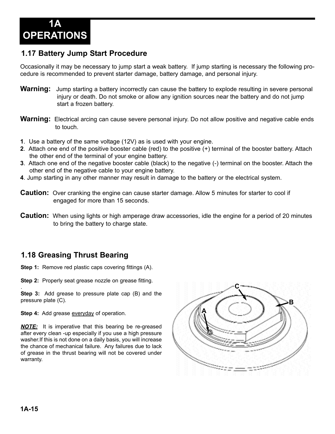

#### **1.17 Battery Jump Start Procedure**

Occasionally it may be necessary to jump start a weak battery. If jump starting is necessary the following procedure is recommended to prevent starter damage, battery damage, and personal injury.

- **Warning:** Jump starting a battery incorrectly can cause the battery to explode resulting in severe personal injury or death. Do not smoke or allow any ignition sources near the battery and do not jump start a frozen battery.
- **Warning:** Electrical arcing can cause severe personal injury. Do not allow positive and negative cable ends to touch.
- **1**. Use a battery of the same voltage (12V) as is used with your engine.
- **2**. Attach one end of the positive booster cable (red) to the positive (+) terminal of the booster battery. Attach the other end of the terminal of your engine battery.
- **3**. Attach one end of the negative booster cable (black) to the negative (-) terminal on the booster. Attach the other end of the negative cable to your engine battery.
- **4**. Jump starting in any other manner may result in damage to the battery or the electrical system.
- **Caution:** Over cranking the engine can cause starter damage. Allow 5 minutes for starter to cool if engaged for more than 15 seconds.
- **Caution:** When using lights or high amperage draw accessories, idle the engine for a period of 20 minutes to bring the battery to charge state.

#### **1.18 Greasing Thrust Bearing**

**Step 1:** Remove red plastic caps covering fittings (A).

**Step 2:** Properly seat grease nozzle on grease fitting.

. **Step 3:** Add grease to pressure plate cap (B) and the pressure plate (C).

**Step 4:** Add grease everyday of operation.

*NOTE:* It is imperative that this bearing be re-greased after every clean -up especially if you use a high pressure washer.If this is not done on a daily basis, you will increase the chance of mechanical failure. Any failures due to lack of grease in the thrust bearing will not be covered under warranty.

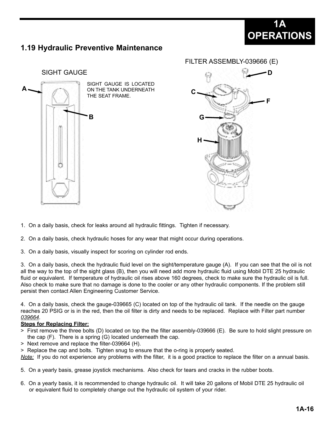### **1A OPERATIONS**

#### **1.19 Hydraulic Preventive Maintenance**





- 1. On a daily basis, check for leaks around all hydraulic fittings. Tighten if necessary.
- 2. On a daily basis, check hydraulic hoses for any wear that might occur during operations.
- 3. On a daily basis, visually inspect for scoring on cylinder rod ends.

3. On a daily basis, check the hydraulic fluid level on the sight/temperature gauge (A). If you can see that the oil is not all the way to the top of the sight glass (B), then you will need add more hydraulic fluid using Mobil DTE 25 hydraulic fluid or equivalent. If temperature of hydraulic oil rises above 160 degrees, check to make sure the hydraulic oil is full. Also check to make sure that no damage is done to the cooler or any other hydraulic components. If the problem still persist then contact Allen Engineering Customer Service.

4. On a daily basis, check the gauge-039665 (C) located on top of the hydraulic oil tank. If the needle on the gauge reaches 20 PSIG or is in the red, then the oil filter is dirty and needs to be replaced. Replace with Filter part number *039664*.

#### **Steps for Replacing Filter:**

- > First remove the three bolts (D) located on top the the filter assembly-039666 (E). Be sure to hold slight pressure on the cap (F). There is a spring (G) located underneath the cap.
- > Next remove and replace the filter-039664 (H).
- > Replace the cap and bolts. Tighten snug to ensure that the o-ring is properly seated.

*Note:* If you do not experience any problems with the filter, it is a good practice to replace the filter on a annual basis.

- 5. On a yearly basis, grease joystick mechanisms. Also check for tears and cracks in the rubber boots.
- 6. On a yearly basis, it is recommended to change hydraulic oil. It will take 20 gallons of Mobil DTE 25 hydraulic oil or equivalent fluid to completely change out the hydraulic oil system of your rider.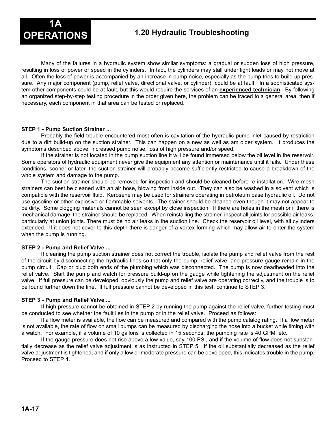

Many of the failures in a hydraulic system show similar symptoms: a gradual or sudden loss of high pressure, resulting in loss of power or speed in the cylinders. In fact, the cylinders may stall under light loads or may not move at all. Often the loss of power is accompanied by an increase in pump noise, especially as the pump tries to build up pressure. Any major component (pump, relief valve, directional valve, or cylinder) could be at fault. In a sophisticated system other components could be at fault, but this would require the services of an **experienced technician**. By following an organized step-by-step testing procedure in the order given here, the problem can be traced to a general area, then if necessary, each component in that area can be tested or replaced.

#### **STEP 1 - Pump Suction Strainer ...**

Probably the field trouble encountered most often is cavitation of the hydraulic pump inlet caused by restriction due to a dirt build-up on the suction strainer. This can happen on a new as well as am older system. It produces the symptoms described above: increased pump noise, loss of high pressure and/or speed.

If the strainer is not located in the pump suction line it will be found immersed below the oil level in the reservoir. Some operators of hydraulic equipment never give the equipment any attention or maintenance until it fails. Under these conditions, sooner or later, the suction strainer will probably become sufficiently restricted to cause a breakdown of the whole system and damage to the pump.

The suction strainer should be removed for inspection and should be cleaned before re-installation. Wire mesh strainers can best be cleaned with an air hose, blowing from inside out. They can also be washed in a solvent which is compatible with the reservoir fluid. Kerosene may be used for strainers operating in petroleum base hydraulic oil. Do not use gasoline or other explosive or flammable solvents. The stainer should be cleaned even though it may not appear to be dirty. Some clogging materials cannot be seen except by close inspection. If there are holes in the mesh or if there is mechanical damage, the strainer should be replaced. When reinstalling the strainer, inspect all joints for possible air leaks, particularly at union joints. There must be no air leaks in the suction line. Check the reservoir oil level, with all cylinders extended. If it does not cover to this depth there is danger of a vortex forming which may allow air to enter the system when the pump is running.

#### **STEP 2 - Pump and Relief Valve ...**

If cleaning the pump suction strainer does not correct the trouble, isolate the pump and relief valve from the rest of the circuit by disconnecting the hydraulic lines so that only the pump, relief valve, and pressure gauge remain in the pump circuit. Cap or plug both ends of the plumbing which was disconnected. The pump is now deadheaded into the relief valve. Start the pump and watch for pressure build-up on the gauge while tightening the adjustment on the relief valve. If full pressure can be developed, obviously the pump and relief valve are operating correctly, and the trouble is to be found further down the line. If full pressure cannot be developed in this test, continue to STEP 3.

#### **STEP 3 - Pump and Relief Valve ...**

If high pressure cannot be obtained in STEP 2 by running the pump against the relief valve, further testing must be conducted to see whether the fault lies in the pump or in the relief valve. Proceed as follows:

If a flow meter is available, the flow can be measured and compared with the pump catalog rating. If a flow meter is not available, the rate of flow on small pumps can be measured by discharging the hose into a bucket while timing with a watch. For example, if a volume of 10 gallons is collected in 15 seconds, the pumping rate is 40 GPM, etc.

If the gauge pressure does not rise above a low value, say 100 PSI, and if the volume of flow does not substantially decrease as the relief valve adjustment is as instructed in STEP 5. If the oil substantially decreased as the relief valve adjustment is tightened, and if only a low or moderate pressure can be developed, this indicates trouble in the pump. Proceed to STEP 4.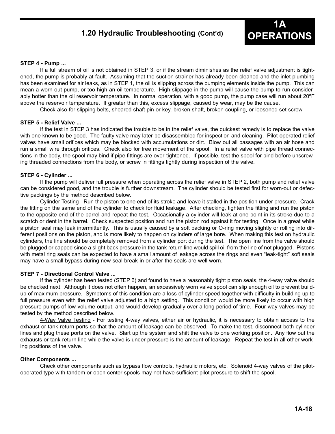#### **OPERATIONS 1.20 Hydraulic Troubleshooting (Cont'd)**



#### **STEP 4 - Pump ...**

If a full stream of oil is not obtained in STEP 3, or if the stream diminishes as the relief valve adjustment is tightened, the pump is probably at fault. Assuming that the suction strainer has already been cleaned and the inlet plumbing has been examined for air leaks, as in STEP 1, the oil is slipping across the pumping elements inside the pump. This can mean a worn-out pump, or too high an oil temperature. High slippage in the pump will cause the pump to run considerably hotter than the oil reservoir temperature. In normal operation, with a good pump, the pump case will run about 20°F above the reservoir temperature. If greater than this, excess slippage, caused by wear, may be the cause.

Check also for slipping belts, sheared shaft pin or key, broken shaft, broken coupling, or loosened set screw.

#### **STEP 5 - Relief Valve ...**

If the test in STEP 3 has indicated the trouble to be in the relief valve, the quickest remedy is to replace the valve with one known to be good. The faulty valve may later be disassembled for inspection and cleaning. Pilot-operated relief valves have small orifices which may be blocked with accumulations or dirt. Blow out all passages with an air hose and run a small wire through orifices. Check also for free movement of the spool. In a relief valve with pipe thread connections in the body, the spool may bind if pipe fittings are over-tightened. If possible, test the spool for bind before unscrewing threaded connections from the body, or screw in fittings tightly during inspection of the valve.

#### **STEP 6 - Cylinder ...**

If the pump will deliver full pressure when operating across the relief valve in STEP 2, both pump and relief valve can be considered good, and the trouble is further downstream. The cylinder should be tested first for worn-out or defective packings by the method described below.

Cylinder Testing - Run the piston to one end of its stroke and leave it stalled in the position under pressure. Crack the fitting on the same end of the cylinder to check for fluid leakage. After checking, tighten the fitting and run the piston to the opposite end of the barrel and repeat the test. Occasionally a cylinder will leak at one point in its stroke due to a scratch or dent in the barrel. Check suspected position and run the piston rod against it for testing. Once in a great while a piston seal may leak intermittently. This is usually caused by a soft packing or O-ring moving slightly or rolling into different positions on the piston, and is more likely to happen on cylinders of large bore. When making this test on hydraulic cylinders, the line should be completely removed from a cylinder port during the test. The open line from the valve should be plugged or capped since a slight back pressure in the tank return line would spill oil from the line of not plugged. Pistons with metal ring seals can be expected to have a small amount of leakage across the rings and even "leak-tight" soft seals may have a small bypass during new seal break-in or after the seals are well worn.

#### **STEP 7 - Directional Control Valve ...**

If the cylinder has been tested (STEP 6) and found to have a reasonably tight piston seals, the 4-way valve should be checked next. Although it does not often happen, an excessively worn valve spool can slip enough oil to prevent buildup of maximum pressure. Symptoms of this condition are a loss of cylinder speed together with difficulty in building up to full pressure even with the relief valve adjusted to a high setting. This condition would be more likely to occur with high pressure pumps of low volume output, and would develop gradually over a long period of time. Four-way valves may be tested by the method described below.

4-Way Valve Testing - For testing 4-way valves, either air or hydraulic, it is necessary to obtain access to the exhaust or tank return ports so that the amount of leakage can be observed. To make the test, disconnect both cylinder lines and plug these ports on the valve. Start up the system and shift the valve to one working position. Any flow out the exhausts or tank return line while the valve is under pressure is the amount of leakage. Repeat the test in all other working positions of the valve.

#### **Other Components ...**

Check other components such as bypass flow controls, hydraulic motors, etc. Solenoid 4-way valves of the pilotoperated type with tandem or open center spools may not have sufficient pilot pressure to shift the spool.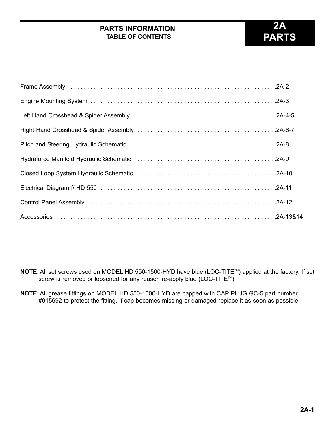#### **PARTS INFORMATION TABLE OF CONTENTS**

### **2A PARTS**

**NOTE:** All set screws used on MODEL HD 550-1500-HYD have blue (LOC-TITE™) applied at the factory. If set screw is removed or loosened for any reason re-apply blue (LOC-TITE™).

**NOTE:**All grease fittings on MODEL HD 550-1500-HYD are capped with CAP PLUG GC-5 part number #015692 to protect the fitting. If cap becomes missing or damaged replace it as soon as possible.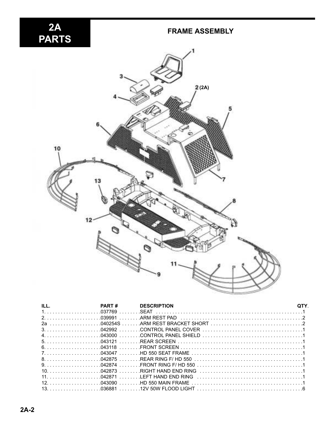# 2A<br>PARTS

#### **FRAME ASSEMBLY**



| ILL.<br><b>DESCRIPTION</b><br><b>PART#</b> |  |
|--------------------------------------------|--|
|                                            |  |
|                                            |  |
|                                            |  |
|                                            |  |
|                                            |  |
|                                            |  |
|                                            |  |
|                                            |  |
|                                            |  |
|                                            |  |
|                                            |  |
|                                            |  |
|                                            |  |
|                                            |  |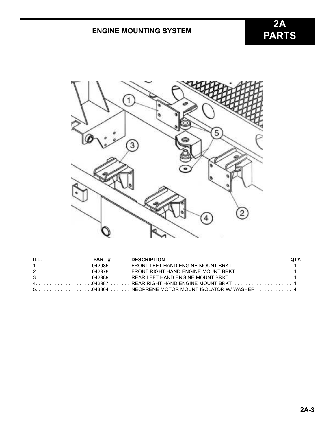#### **ENGINE MOUNTING SYSTEM**



| ILL. | <b>PART # DESCRIPTION</b> | OTY. |
|------|---------------------------|------|
|      |                           |      |
|      |                           |      |
|      |                           |      |
|      |                           |      |
|      |                           |      |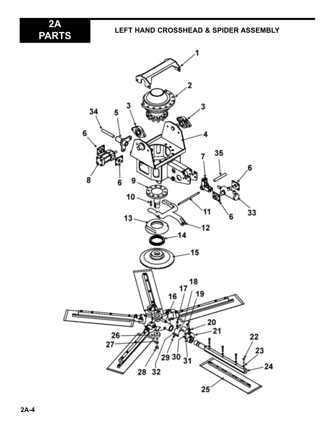2A<br>PARTS

#### **LEFT HAND CROSSHEAD & SPIDER ASSEMBLY**

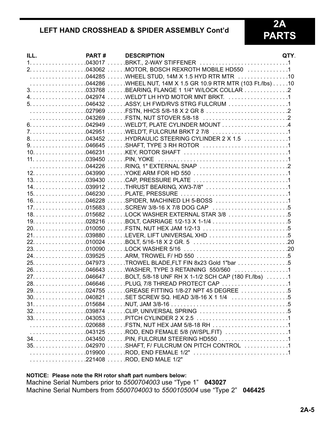#### **LEFT HAND CROSSHEAD & SPIDER ASSEMBLY Cont'd**

#### **2A PARTS**

| ILL. | PART# | <b>DESCRIPTION</b>                                                                                                                                              | QTY. |
|------|-------|-----------------------------------------------------------------------------------------------------------------------------------------------------------------|------|
|      |       |                                                                                                                                                                 |      |
|      |       |                                                                                                                                                                 |      |
|      |       |                                                                                                                                                                 |      |
|      |       |                                                                                                                                                                 |      |
|      |       |                                                                                                                                                                 |      |
|      |       |                                                                                                                                                                 |      |
|      |       |                                                                                                                                                                 |      |
|      |       |                                                                                                                                                                 |      |
|      |       | $\ldots \ldots \ldots \ldots \ldots$ .043269 $\ldots \ldots$ . FSTN, NUT STOVER 5/8-18 $\ldots \ldots \ldots \ldots \ldots \ldots \ldots \ldots$ .2             |      |
|      |       |                                                                                                                                                                 |      |
|      |       |                                                                                                                                                                 |      |
|      |       |                                                                                                                                                                 |      |
|      |       |                                                                                                                                                                 |      |
|      |       |                                                                                                                                                                 |      |
|      |       |                                                                                                                                                                 |      |
|      |       |                                                                                                                                                                 |      |
|      |       |                                                                                                                                                                 |      |
|      |       |                                                                                                                                                                 |      |
|      |       |                                                                                                                                                                 |      |
|      |       |                                                                                                                                                                 |      |
|      |       |                                                                                                                                                                 |      |
|      |       |                                                                                                                                                                 |      |
|      |       | 18. 015682 LOCK WASHER EXTERNAL STAR 3/8 5                                                                                                                      |      |
|      |       |                                                                                                                                                                 |      |
|      |       |                                                                                                                                                                 |      |
|      |       |                                                                                                                                                                 |      |
|      |       |                                                                                                                                                                 |      |
|      |       |                                                                                                                                                                 |      |
|      |       |                                                                                                                                                                 |      |
|      |       |                                                                                                                                                                 |      |
|      |       |                                                                                                                                                                 |      |
|      |       |                                                                                                                                                                 |      |
|      |       |                                                                                                                                                                 |      |
|      |       |                                                                                                                                                                 |      |
|      |       |                                                                                                                                                                 | 5    |
|      |       |                                                                                                                                                                 |      |
|      |       |                                                                                                                                                                 |      |
|      |       |                                                                                                                                                                 |      |
|      |       |                                                                                                                                                                 |      |
|      |       |                                                                                                                                                                 |      |
|      |       |                                                                                                                                                                 |      |
|      |       |                                                                                                                                                                 |      |
|      |       | $\ldots \ldots \ldots \ldots \ldots \ldots$ 019900 $\ldots \ldots$ ROD, END FEMALE 1/2" $\ldots \ldots \ldots \ldots \ldots \ldots \ldots \ldots \ldots \ldots$ |      |
|      |       | 221408 ROD, END MALE 1/2"                                                                                                                                       |      |

#### **NOTICE: Please note the RH rotor shaft part numbers below:**

Machine Serial Numbers prior to *5500704003* use "Type 1" **043027** Machine Serial Numbers from *5500704003* to *5500105004* use "Type 2" **046425**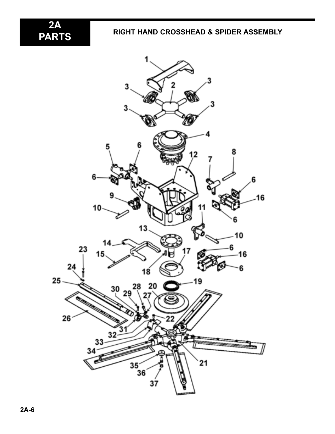2A<br>PARTS

#### **PARTS RIGHT HAND CROSSHEAD & SPIDER ASSEMBLY**

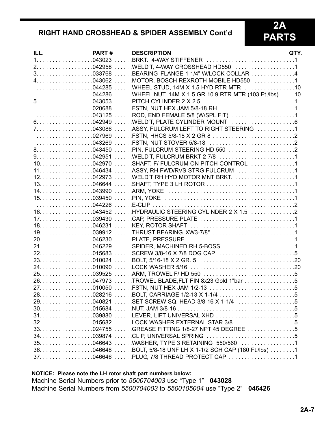#### **RIGHT HAND CROSSHEAD & SPIDER ASSEMBLY Cont'd**

## 2A<br>PARTS

| 020688 FSTN, NUT HEX JAM 5/8-18 RH 1<br>5 | ILL. | PART# | <b>DESCRIPTION</b> | QTY. |
|-------------------------------------------|------|-------|--------------------|------|
|                                           |      |       |                    |      |
|                                           |      |       |                    |      |
|                                           |      |       |                    |      |
|                                           |      |       |                    |      |
|                                           |      |       |                    |      |
|                                           |      |       |                    |      |
|                                           |      |       |                    |      |
|                                           |      |       |                    |      |
|                                           |      |       |                    |      |
|                                           |      |       |                    |      |
|                                           |      |       |                    |      |
|                                           |      |       |                    |      |
|                                           |      |       |                    |      |
|                                           |      |       |                    |      |
|                                           |      |       |                    |      |
|                                           |      |       |                    |      |
|                                           |      |       |                    |      |
|                                           |      |       |                    |      |
|                                           |      |       |                    |      |
|                                           |      |       |                    |      |
|                                           |      |       |                    |      |
|                                           |      |       |                    |      |
|                                           |      |       |                    |      |
|                                           |      |       |                    |      |
|                                           |      |       |                    |      |
|                                           |      |       |                    |      |
|                                           |      |       |                    |      |
|                                           |      |       |                    |      |
|                                           |      |       |                    |      |
|                                           |      |       |                    |      |
|                                           |      |       |                    |      |
|                                           |      |       |                    |      |
|                                           |      |       |                    |      |
|                                           |      |       |                    |      |
|                                           |      |       |                    |      |
|                                           |      |       |                    |      |
|                                           |      |       |                    |      |
|                                           |      |       |                    |      |
|                                           |      |       |                    |      |
|                                           |      |       |                    |      |
|                                           |      |       |                    |      |
|                                           |      |       |                    |      |
|                                           |      |       |                    |      |
|                                           |      |       |                    |      |
|                                           |      |       |                    |      |
|                                           |      |       |                    |      |

#### **NOTICE: Please note the LH rotor shaft part numbers below:**

Machine Serial Numbers prior to *5500704003* use "Type 1" **043028** Machine Serial Numbers from *5500704003* to *5500105004* use "Type 2" **046426**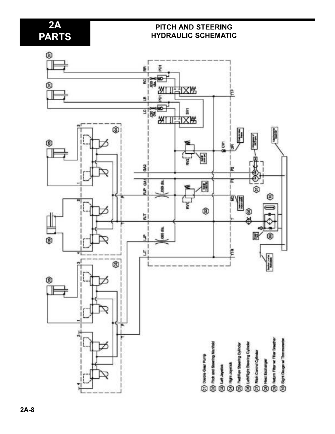#### **2A PARTS**

#### **PITCH AND STEERING HYDRAULIC SCHEMATIC**

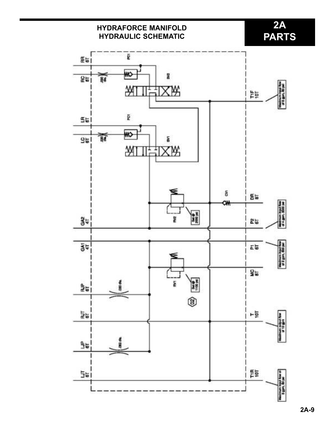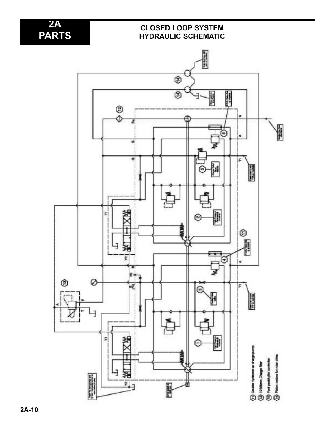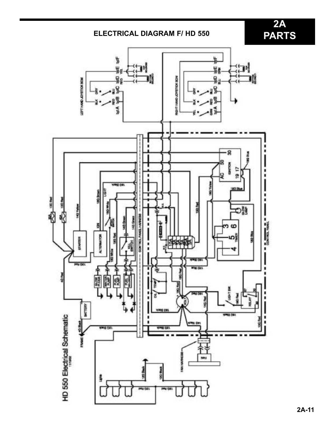#### **ELECTRICAL DIAGRAM F/ HD 550**

**2A PARTS**

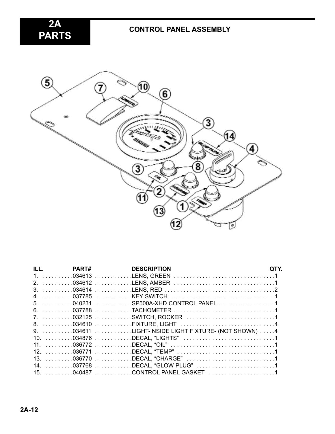**2A PARTS**



| ILL. PART# | <b>DESCRIPTION</b>                                  |  |
|------------|-----------------------------------------------------|--|
|            |                                                     |  |
|            |                                                     |  |
|            |                                                     |  |
|            |                                                     |  |
|            | 5. 040231 SP500A-XHD CONTROL PANEL 1                |  |
|            |                                                     |  |
|            |                                                     |  |
|            |                                                     |  |
|            | 9. 034611 LIGHT-INSIDE LIGHT FIXTURE- (NOT SHOWN) 4 |  |
|            |                                                     |  |
|            |                                                     |  |
|            |                                                     |  |
|            |                                                     |  |
|            |                                                     |  |
|            | 15. 040487 CONTROL PANEL GASKET 1                   |  |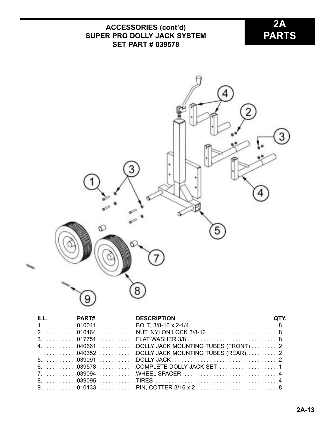## **2A ACCESSORIES (cont'd) PARTS SUPER PRO DOLLY JACK SYSTEM SET PART # 039578**  $\overline{\mathcal{L}}$ 2 3 ¥, 3 ٠ 4 စ 5  $\overline{8}$

|  | ILL. PART# DESCRIPTION                                                                                                                       | OTY. |
|--|----------------------------------------------------------------------------------------------------------------------------------------------|------|
|  |                                                                                                                                              |      |
|  |                                                                                                                                              |      |
|  |                                                                                                                                              |      |
|  |                                                                                                                                              |      |
|  | $\ldots \ldots \ldots \ldots 0$ 40352 $\ldots \ldots \ldots \ldots$ DOLLY JACK MOUNTING TUBES (REAR) $\ldots \ldots \ldots 2$                |      |
|  |                                                                                                                                              |      |
|  |                                                                                                                                              |      |
|  |                                                                                                                                              |      |
|  |                                                                                                                                              |      |
|  | 9. $\ldots \ldots \ldots$ .010133 $\ldots \ldots \ldots$ . PIN, COTTER 3/16 x 2 $\ldots \ldots \ldots \ldots \ldots \ldots \ldots \ldots$ .8 |      |